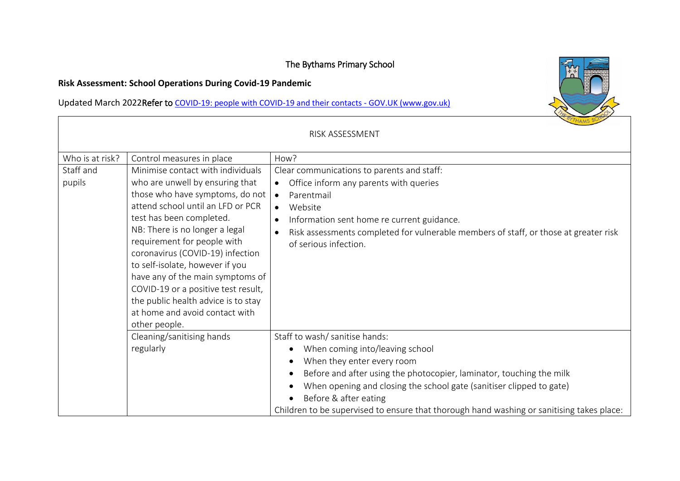## The Bythams Primary School

## **Risk Assessment: School Operations During Covid-19 Pandemic**

Updated March 2022Refer to [COVID-19: people with COVID-19 and their contacts -](https://www.gov.uk/government/publications/covid-19-people-with-covid-19-and-their-contacts/covid-19-people-with-covid-19-and-their-contacts) GOV.UK (www.gov.uk)

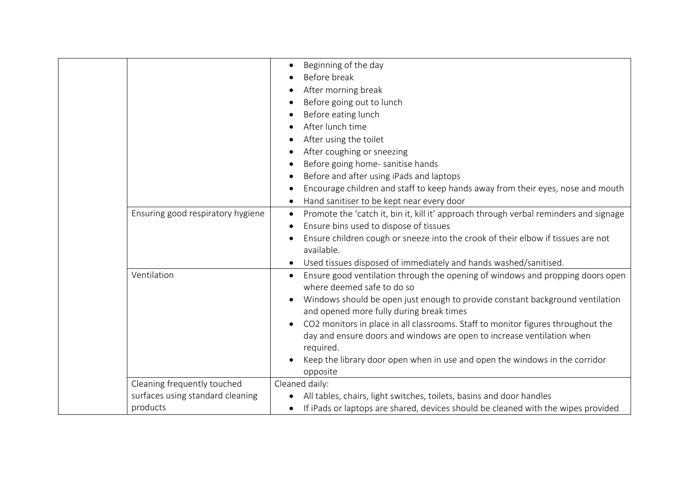|                                                                             | Beginning of the day<br>Before break<br>After morning break<br>Before going out to lunch<br>Before eating lunch<br>After lunch time<br>After using the toilet<br>After coughing or sneezing<br>Before going home- sanitise hands<br>Before and after using iPads and laptops<br>Encourage children and staff to keep hands away from their eyes, nose and mouth<br>Hand sanitiser to be kept near every door                                                                                                    |
|-----------------------------------------------------------------------------|-----------------------------------------------------------------------------------------------------------------------------------------------------------------------------------------------------------------------------------------------------------------------------------------------------------------------------------------------------------------------------------------------------------------------------------------------------------------------------------------------------------------|
| Ensuring good respiratory hygiene                                           | Promote the 'catch it, bin it, kill it' approach through verbal reminders and signage<br>Ensure bins used to dispose of tissues<br>Ensure children cough or sneeze into the crook of their elbow if tissues are not<br>available.<br>Used tissues disposed of immediately and hands washed/sanitised.                                                                                                                                                                                                           |
| Ventilation                                                                 | Ensure good ventilation through the opening of windows and propping doors open<br>where deemed safe to do so<br>Windows should be open just enough to provide constant background ventilation<br>and opened more fully during break times<br>CO2 monitors in place in all classrooms. Staff to monitor figures throughout the<br>day and ensure doors and windows are open to increase ventilation when<br>required.<br>Keep the library door open when in use and open the windows in the corridor<br>opposite |
| Cleaning frequently touched<br>surfaces using standard cleaning<br>products | Cleaned daily:<br>All tables, chairs, light switches, toilets, basins and door handles<br>If iPads or laptops are shared, devices should be cleaned with the wipes provided                                                                                                                                                                                                                                                                                                                                     |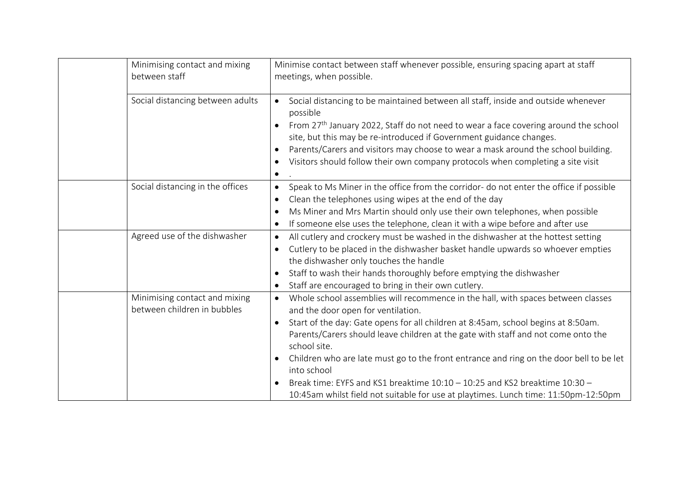| Minimising contact and mixing<br>between staff               | Minimise contact between staff whenever possible, ensuring spacing apart at staff<br>meetings, when possible.                                                                                                                                                                                                                                                                                                                                                                                                                                                                                                |
|--------------------------------------------------------------|--------------------------------------------------------------------------------------------------------------------------------------------------------------------------------------------------------------------------------------------------------------------------------------------------------------------------------------------------------------------------------------------------------------------------------------------------------------------------------------------------------------------------------------------------------------------------------------------------------------|
| Social distancing between adults                             | Social distancing to be maintained between all staff, inside and outside whenever<br>$\bullet$<br>possible<br>From 27 <sup>th</sup> January 2022, Staff do not need to wear a face covering around the school<br>site, but this may be re-introduced if Government guidance changes.<br>Parents/Carers and visitors may choose to wear a mask around the school building.<br>$\bullet$<br>Visitors should follow their own company protocols when completing a site visit<br>$\bullet$<br>$\bullet$                                                                                                          |
| Social distancing in the offices                             | Speak to Ms Miner in the office from the corridor- do not enter the office if possible<br>$\bullet$<br>Clean the telephones using wipes at the end of the day<br>$\bullet$<br>Ms Miner and Mrs Martin should only use their own telephones, when possible<br>$\bullet$<br>If someone else uses the telephone, clean it with a wipe before and after use<br>$\bullet$                                                                                                                                                                                                                                         |
| Agreed use of the dishwasher                                 | All cutlery and crockery must be washed in the dishwasher at the hottest setting<br>$\bullet$<br>Cutlery to be placed in the dishwasher basket handle upwards so whoever empties<br>$\bullet$<br>the dishwasher only touches the handle<br>Staff to wash their hands thoroughly before emptying the dishwasher<br>$\bullet$<br>Staff are encouraged to bring in their own cutlery.<br>$\bullet$                                                                                                                                                                                                              |
| Minimising contact and mixing<br>between children in bubbles | Whole school assemblies will recommence in the hall, with spaces between classes<br>$\bullet$<br>and the door open for ventilation.<br>Start of the day: Gate opens for all children at 8:45am, school begins at 8:50am.<br>Parents/Carers should leave children at the gate with staff and not come onto the<br>school site.<br>Children who are late must go to the front entrance and ring on the door bell to be let<br>into school<br>Break time: EYFS and KS1 breaktime 10:10 - 10:25 and KS2 breaktime 10:30 -<br>10:45am whilst field not suitable for use at playtimes. Lunch time: 11:50pm-12:50pm |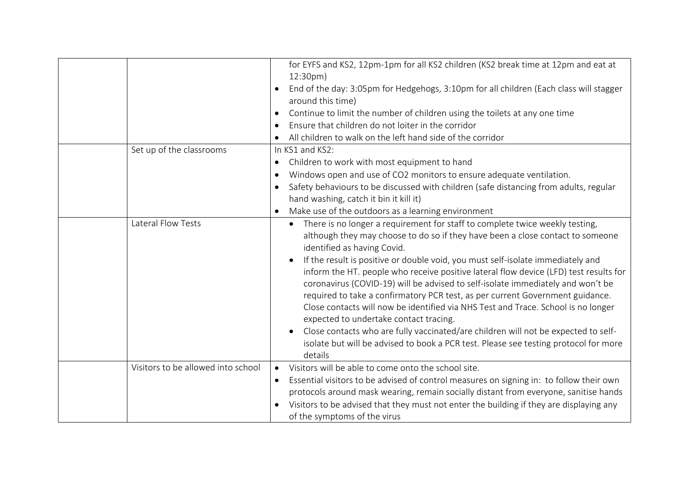|                                    | for EYFS and KS2, 12pm-1pm for all KS2 children (KS2 break time at 12pm and eat at<br>12:30pm)<br>End of the day: 3:05pm for Hedgehogs, 3:10pm for all children (Each class will stagger<br>around this time)<br>Continue to limit the number of children using the toilets at any one time<br>$\bullet$<br>Ensure that children do not loiter in the corridor<br>All children to walk on the left hand side of the corridor<br>$\bullet$                                                                                                                                                                                                                                                                                                                                                                                                                                          |
|------------------------------------|------------------------------------------------------------------------------------------------------------------------------------------------------------------------------------------------------------------------------------------------------------------------------------------------------------------------------------------------------------------------------------------------------------------------------------------------------------------------------------------------------------------------------------------------------------------------------------------------------------------------------------------------------------------------------------------------------------------------------------------------------------------------------------------------------------------------------------------------------------------------------------|
| Set up of the classrooms           | In KS1 and KS2:<br>Children to work with most equipment to hand<br>$\bullet$<br>Windows open and use of CO2 monitors to ensure adequate ventilation.<br>$\bullet$<br>Safety behaviours to be discussed with children (safe distancing from adults, regular<br>$\bullet$<br>hand washing, catch it bin it kill it)<br>Make use of the outdoors as a learning environment<br>$\bullet$                                                                                                                                                                                                                                                                                                                                                                                                                                                                                               |
| Lateral Flow Tests                 | There is no longer a requirement for staff to complete twice weekly testing,<br>although they may choose to do so if they have been a close contact to someone<br>identified as having Covid.<br>If the result is positive or double void, you must self-isolate immediately and<br>$\bullet$<br>inform the HT. people who receive positive lateral flow device (LFD) test results for<br>coronavirus (COVID-19) will be advised to self-isolate immediately and won't be<br>required to take a confirmatory PCR test, as per current Government guidance.<br>Close contacts will now be identified via NHS Test and Trace. School is no longer<br>expected to undertake contact tracing.<br>Close contacts who are fully vaccinated/are children will not be expected to self-<br>isolate but will be advised to book a PCR test. Please see testing protocol for more<br>details |
| Visitors to be allowed into school | Visitors will be able to come onto the school site.<br>$\bullet$<br>Essential visitors to be advised of control measures on signing in: to follow their own<br>$\bullet$<br>protocols around mask wearing, remain socially distant from everyone, sanitise hands<br>Visitors to be advised that they must not enter the building if they are displaying any<br>of the symptoms of the virus                                                                                                                                                                                                                                                                                                                                                                                                                                                                                        |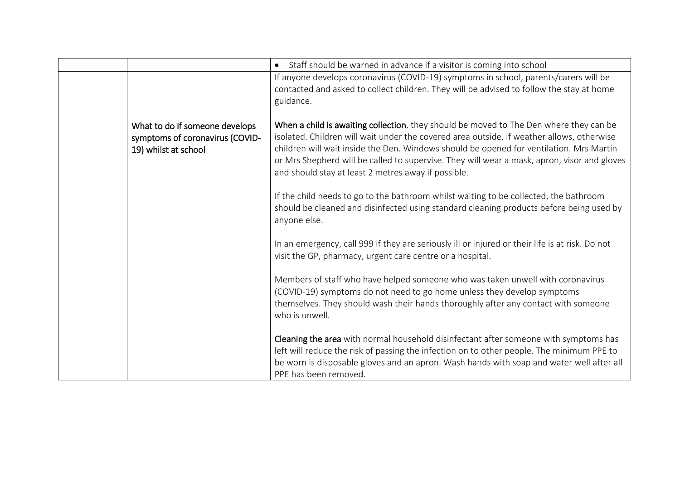|                                                                                           | Staff should be warned in advance if a visitor is coming into school<br>$\bullet$                                                                                                                                                                                                                                                                                                                                                    |
|-------------------------------------------------------------------------------------------|--------------------------------------------------------------------------------------------------------------------------------------------------------------------------------------------------------------------------------------------------------------------------------------------------------------------------------------------------------------------------------------------------------------------------------------|
|                                                                                           | If anyone develops coronavirus (COVID-19) symptoms in school, parents/carers will be<br>contacted and asked to collect children. They will be advised to follow the stay at home<br>guidance.                                                                                                                                                                                                                                        |
| What to do if someone develops<br>symptoms of coronavirus (COVID-<br>19) whilst at school | When a child is awaiting collection, they should be moved to The Den where they can be<br>isolated. Children will wait under the covered area outside, if weather allows, otherwise<br>children will wait inside the Den. Windows should be opened for ventilation. Mrs Martin<br>or Mrs Shepherd will be called to supervise. They will wear a mask, apron, visor and gloves<br>and should stay at least 2 metres away if possible. |
|                                                                                           | If the child needs to go to the bathroom whilst waiting to be collected, the bathroom<br>should be cleaned and disinfected using standard cleaning products before being used by<br>anyone else.                                                                                                                                                                                                                                     |
|                                                                                           | In an emergency, call 999 if they are seriously ill or injured or their life is at risk. Do not<br>visit the GP, pharmacy, urgent care centre or a hospital.                                                                                                                                                                                                                                                                         |
|                                                                                           | Members of staff who have helped someone who was taken unwell with coronavirus<br>(COVID-19) symptoms do not need to go home unless they develop symptoms<br>themselves. They should wash their hands thoroughly after any contact with someone<br>who is unwell.                                                                                                                                                                    |
|                                                                                           | Cleaning the area with normal household disinfectant after someone with symptoms has<br>left will reduce the risk of passing the infection on to other people. The minimum PPE to<br>be worn is disposable gloves and an apron. Wash hands with soap and water well after all<br>PPE has been removed.                                                                                                                               |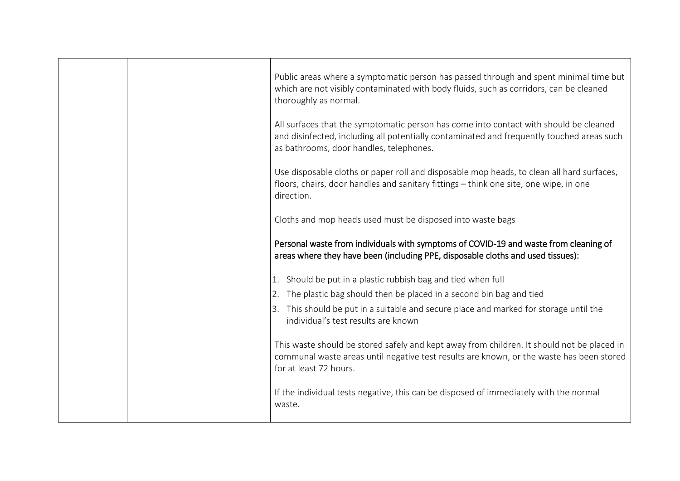|  | Public areas where a symptomatic person has passed through and spent minimal time but<br>which are not visibly contaminated with body fluids, such as corridors, can be cleaned<br>thoroughly as normal.                      |
|--|-------------------------------------------------------------------------------------------------------------------------------------------------------------------------------------------------------------------------------|
|  | All surfaces that the symptomatic person has come into contact with should be cleaned<br>and disinfected, including all potentially contaminated and frequently touched areas such<br>as bathrooms, door handles, telephones. |
|  | Use disposable cloths or paper roll and disposable mop heads, to clean all hard surfaces,<br>floors, chairs, door handles and sanitary fittings - think one site, one wipe, in one<br>direction.                              |
|  | Cloths and mop heads used must be disposed into waste bags                                                                                                                                                                    |
|  | Personal waste from individuals with symptoms of COVID-19 and waste from cleaning of<br>areas where they have been (including PPE, disposable cloths and used tissues):                                                       |
|  | 1. Should be put in a plastic rubbish bag and tied when full                                                                                                                                                                  |
|  | 2. The plastic bag should then be placed in a second bin bag and tied                                                                                                                                                         |
|  | 3. This should be put in a suitable and secure place and marked for storage until the<br>individual's test results are known                                                                                                  |
|  | This waste should be stored safely and kept away from children. It should not be placed in<br>communal waste areas until negative test results are known, or the waste has been stored<br>for at least 72 hours.              |
|  | If the individual tests negative, this can be disposed of immediately with the normal<br>waste.                                                                                                                               |
|  |                                                                                                                                                                                                                               |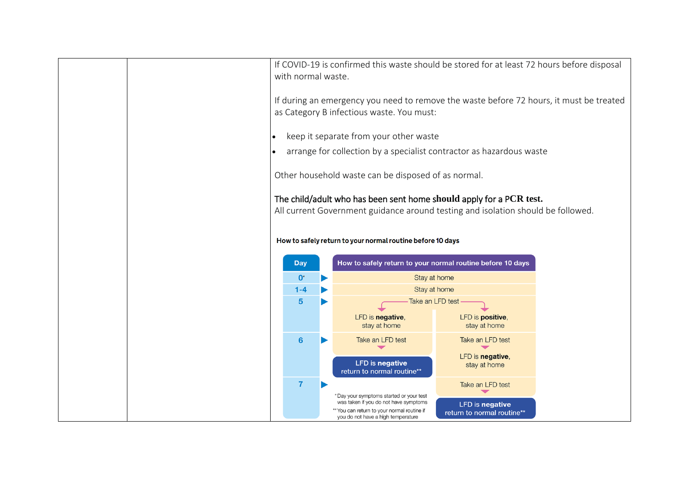|           | with normal waste.        | If COVID-19 is confirmed this waste should be stored for at least 72 hours before disposal                                                              |                                  |  |
|-----------|---------------------------|---------------------------------------------------------------------------------------------------------------------------------------------------------|----------------------------------|--|
|           |                           | If during an emergency you need to remove the waste before 72 hours, it must be treated<br>as Category B infectious waste. You must:                    |                                  |  |
| $\bullet$ |                           | keep it separate from your other waste                                                                                                                  |                                  |  |
|           |                           | arrange for collection by a specialist contractor as hazardous waste                                                                                    |                                  |  |
|           |                           |                                                                                                                                                         |                                  |  |
|           |                           | Other household waste can be disposed of as normal.                                                                                                     |                                  |  |
|           |                           | The child/adult who has been sent home should apply for a PCR test.<br>All current Government guidance around testing and isolation should be followed. |                                  |  |
|           |                           | How to safely return to your normal routine before 10 days                                                                                              |                                  |  |
|           | <b>Day</b>                | How to safely return to your normal routine before 10 days                                                                                              |                                  |  |
|           | $\mathbf{0}^*$<br>$1 - 4$ | Stay at home<br>Stay at home                                                                                                                            |                                  |  |
|           | $5\phantom{1}$            | Take an LFD test                                                                                                                                        |                                  |  |
|           |                           | LFD is negative,<br>stay at home                                                                                                                        | LFD is positive,<br>stay at home |  |
|           | 6                         | Take an LFD test                                                                                                                                        | Take an LFD test                 |  |
|           |                           | <b>LFD</b> is negative<br>return to normal routine**                                                                                                    | LFD is negative,<br>stay at home |  |
|           | $\overline{7}$            |                                                                                                                                                         | Take an LFD test                 |  |
|           |                           | *Day your symptoms started or your test<br>was taken if you do not have symptoms                                                                        | <b>LFD</b> is negative           |  |
|           |                           | ** You can return to your normal routine if<br>you do not have a high temperature                                                                       | return to normal routine**       |  |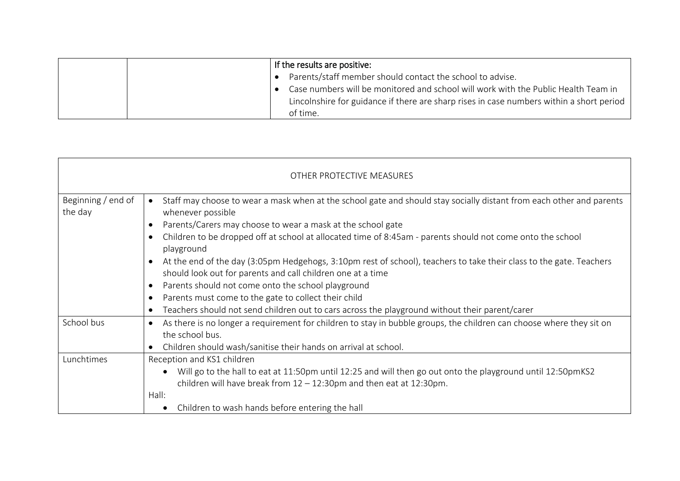|  | If the results are positive:                                                             |
|--|------------------------------------------------------------------------------------------|
|  | Parents/staff member should contact the school to advise.<br>$\bullet$                   |
|  | Case numbers will be monitored and school will work with the Public Health Team in       |
|  | Lincolnshire for guidance if there are sharp rises in case numbers within a short period |
|  | of time.                                                                                 |

| OTHER PROTECTIVE MEASURES     |                                                                                                                                                                                                                                                                                                                                                                                                                                                                                                                                                                                                                                                                                                                                                         |  |  |
|-------------------------------|---------------------------------------------------------------------------------------------------------------------------------------------------------------------------------------------------------------------------------------------------------------------------------------------------------------------------------------------------------------------------------------------------------------------------------------------------------------------------------------------------------------------------------------------------------------------------------------------------------------------------------------------------------------------------------------------------------------------------------------------------------|--|--|
| Beginning / end of<br>the day | Staff may choose to wear a mask when at the school gate and should stay socially distant from each other and parents<br>$\bullet$<br>whenever possible<br>Parents/Carers may choose to wear a mask at the school gate<br>Children to be dropped off at school at allocated time of 8:45am - parents should not come onto the school<br>playground<br>At the end of the day (3:05pm Hedgehogs, 3:10pm rest of school), teachers to take their class to the gate. Teachers<br>should look out for parents and call children one at a time<br>Parents should not come onto the school playground<br>Parents must come to the gate to collect their child<br>Teachers should not send children out to cars across the playground without their parent/carer |  |  |
| School bus                    | As there is no longer a requirement for children to stay in bubble groups, the children can choose where they sit on<br>the school bus.<br>Children should wash/sanitise their hands on arrival at school.                                                                                                                                                                                                                                                                                                                                                                                                                                                                                                                                              |  |  |
| Lunchtimes                    | Reception and KS1 children<br>Will go to the hall to eat at 11:50pm until 12:25 and will then go out onto the playground until 12:50pmKS2<br>children will have break from $12 - 12:30$ pm and then eat at $12:30$ pm.<br>Hall:<br>Children to wash hands before entering the hall                                                                                                                                                                                                                                                                                                                                                                                                                                                                      |  |  |